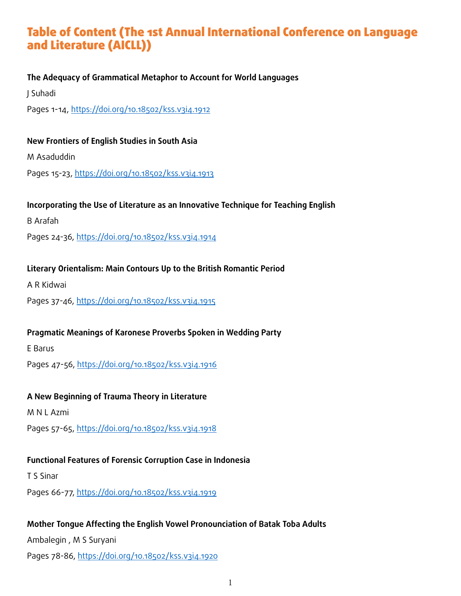## Table of Content (The 1st Annual International Conference on Language and Literature (AICLL))

## **The Adequacy of Grammatical Metaphor to Account for World Languages**

J Suhadi

Pages 1-14, https://doi.org/10.18502/kss.v3i4.1912

## **New Frontiers of English Studies in South Asia**

M Asaduddin

Pages 15-23, https://doi.org/10.18502/kss.v3i4.1913

## **Incorporating the Use of Literature as an Innovative Technique for Teaching English**

B Arafah

Pages 24-36, https://doi.org/10.18502/kss.v3i4.1914

## **Literary Orientalism: Main Contours Up to the British Romantic Period**

A R Kidwai

Pages 37-46, https://doi.org/10.18502/kss.v3i4.1915

## **Pragmatic Meanings of Karonese Proverbs Spoken in Wedding Party**

E Barus

Pages 47-56, https://doi.org/10.18502/kss.v3i4.1916

## **A New Beginning of Trauma Theory in Literature**

M N L Azmi

Pages 57-65, https://doi.org/10.18502/kss.v3i4.1918

## **Functional Features of Forensic Corruption Case in Indonesia**

T S Sinar

Pages 66-77, https://doi.org/10.18502/kss.v3i4.1919

## **Mother Tongue Affecting the English Vowel Pronounciation of Batak Toba Adults**

Ambalegin , M S Suryani

Pages 78-86, https://doi.org/10.18502/kss.v3i4.1920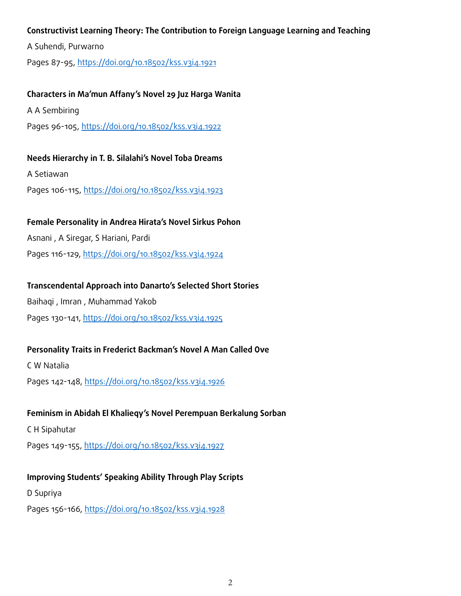#### **Constructivist Learning Theory: The Contribution to Foreign Language Learning and Teaching**

A Suhendi, Purwarno

Pages 87-95, https://doi.org/10.18502/kss.v3i4.1921

#### **Characters in Ma'mun Affany's Novel 29 Juz Harga Wanita**

A A Sembiring

Pages 96-105, https://doi.org/10.18502/kss.v3i4.1922

#### **Needs Hierarchy in T. B. Silalahi's Novel Toba Dreams**

A Setiawan

Pages 106-115, https://doi.org/10.18502/kss.v3i4.1923

#### **Female Personality in Andrea Hirata's Novel Sirkus Pohon**

Asnani , A Siregar, S Hariani, Pardi

Pages 116-129, https://doi.org/10.18502/kss.v3i4.1924

## **Transcendental Approach into Danarto's Selected Short Stories**

Baihaqi , Imran , Muhammad Yakob Pages 130-141, https://doi.org/10.18502/kss.v3i4.1925

## **Personality Traits in Frederict Backman's Novel A Man Called Ove**

C W Natalia

Pages 142-148, https://doi.org/10.18502/kss.v3i4.1926

#### **Feminism in Abidah El Khalieqy's Novel Perempuan Berkalung Sorban**

C H Sipahutar

Pages 149-155, https://doi.org/10.18502/kss.v3i4.1927

## **Improving Students' Speaking Ability Through Play Scripts**

D Supriya

Pages 156-166, https://doi.org/10.18502/kss.v3i4.1928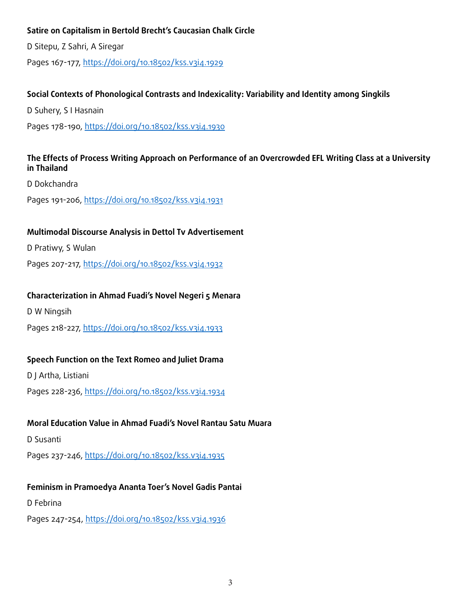## **Satire on Capitalism in Bertold Brecht's Caucasian Chalk Circle**

D Sitepu, Z Sahri, A Siregar

Pages 167-177, https://doi.org/10.18502/kss.v3i4.1929

## **Social Contexts of Phonological Contrasts and Indexicality: Variability and Identity among Singkils**

D Suhery, S I Hasnain

Pages 178-190, https://doi.org/10.18502/kss.v3i4.1930

## **The Effects of Process Writing Approach on Performance of an Overcrowded EFL Writing Class at a University in Thailand**

D Dokchandra

Pages 191-206, https://doi.org/10.18502/kss.v3i4.1931

## **Multimodal Discourse Analysis in Dettol Tv Advertisement**

D Pratiwy, S Wulan

Pages 207-217, https://doi.org/10.18502/kss.v3i4.1932

## **Characterization in Ahmad Fuadi's Novel Negeri 5 Menara**

D W Ningsih

Pages 218-227, https://doi.org/10.18502/kss.v3i4.1933

## **Speech Function on the Text Romeo and Juliet Drama**

D J Artha, Listiani

Pages 228-236, https://doi.org/10.18502/kss.v3i4.1934

## **Moral Education Value in Ahmad Fuadi's Novel Rantau Satu Muara**

D Susanti

Pages 237-246, https://doi.org/10.18502/kss.v3i4.1935

## **Feminism in Pramoedya Ananta Toer's Novel Gadis Pantai**

D Febrina

Pages 247-254, https://doi.org/10.18502/kss.v3i4.1936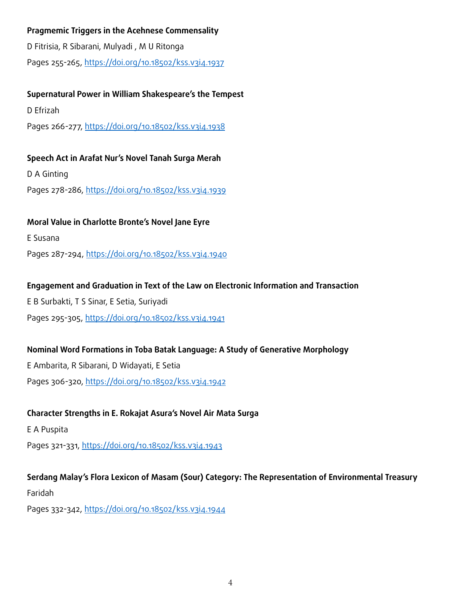## **Pragmemic Triggers in the Acehnese Commensality**

D Fitrisia, R Sibarani, Mulyadi , M U Ritonga Pages 255-265, https://doi.org/10.18502/kss.v3i4.1937

## **Supernatural Power in William Shakespeare's the Tempest**

D Efrizah

Pages 266-277, https://doi.org/10.18502/kss.v3i4.1938

## **Speech Act in Arafat Nur's Novel Tanah Surga Merah**

D A Ginting

Pages 278-286, https://doi.org/10.18502/kss.v3i4.1939

## **Moral Value in Charlotte Bronte's Novel Jane Eyre**

E Susana

Pages 287-294, https://doi.org/10.18502/kss.v3i4.1940

## **Engagement and Graduation in Text of the Law on Electronic Information and Transaction**

E B Surbakti, T S Sinar, E Setia, Suriyadi Pages 295-305, https://doi.org/10.18502/kss.v3i4.1941

## **Nominal Word Formations in Toba Batak Language: A Study of Generative Morphology**

E Ambarita, R Sibarani, D Widayati, E Setia Pages 306-320, https://doi.org/10.18502/kss.v3i4.1942

## **Character Strengths in E. Rokajat Asura's Novel Air Mata Surga**

E A Puspita

Pages 321-331, https://doi.org/10.18502/kss.v3i4.1943

## **Serdang Malay's Flora Lexicon of Masam (Sour) Category: The Representation of Environmental Treasury**

Faridah

Pages 332-342, https://doi.org/10.18502/kss.v3i4.1944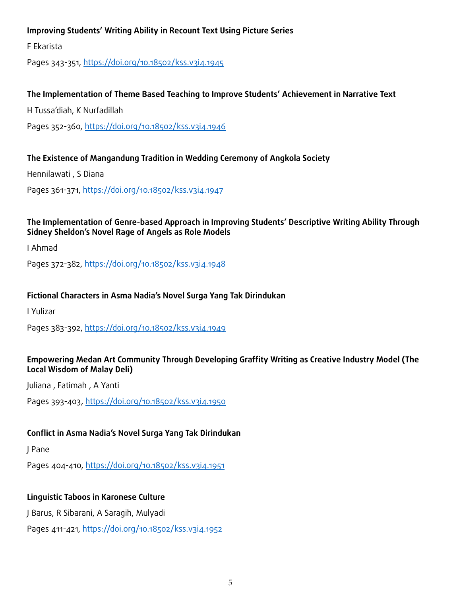## **Improving Students' Writing Ability in Recount Text Using Picture Series**

F Ekarista

Pages 343-351, https://doi.org/10.18502/kss.v3i4.1945

## **The Implementation of Theme Based Teaching to Improve Students' Achievement in Narrative Text**

H Tussa'diah, K Nurfadillah

Pages 352-360, https://doi.org/10.18502/kss.v3i4.1946

## **The Existence of Mangandung Tradition in Wedding Ceremony of Angkola Society**

Hennilawati , S Diana

Pages 361-371, https://doi.org/10.18502/kss.v3i4.1947

#### **The Implementation of Genre-based Approach in Improving Students' Descriptive Writing Ability Through Sidney Sheldon's Novel Rage of Angels as Role Models**

I Ahmad

Pages 372-382, https://doi.org/10.18502/kss.v3i4.1948

## **Fictional Characters in Asma Nadia's Novel Surga Yang Tak Dirindukan**

I Yulizar

Pages 383-392, https://doi.org/10.18502/kss.v3i4.1949

## **Empowering Medan Art Community Through Developing Graffity Writing as Creative Industry Model (The Local Wisdom of Malay Deli)**

Juliana , Fatimah , A Yanti

Pages 393-403, https://doi.org/10.18502/kss.v3i4.1950

## **Conflict in Asma Nadia's Novel Surga Yang Tak Dirindukan**

J Pane

Pages 404-410, https://doi.org/10.18502/kss.v3i4.1951

## **Linguistic Taboos in Karonese Culture**

J Barus, R Sibarani, A Saragih, Mulyadi

Pages 411-421, https://doi.org/10.18502/kss.v3i4.1952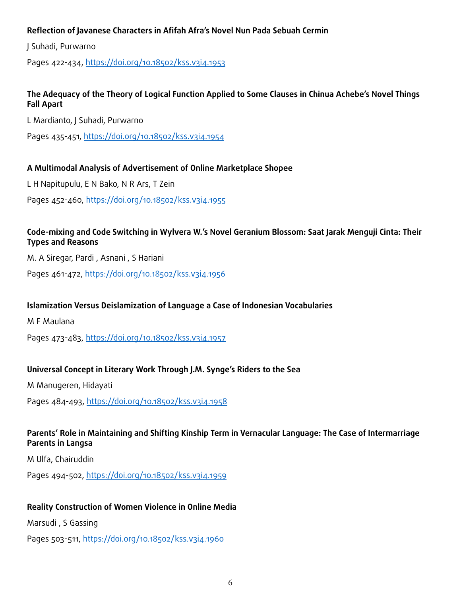## **Reflection of Javanese Characters in Afifah Afra's Novel Nun Pada Sebuah Cermin**

J Suhadi, Purwarno

Pages 422-434, https://doi.org/10.18502/kss.v3i4.1953

## **The Adequacy of the Theory of Logical Function Applied to Some Clauses in Chinua Achebe's Novel Things Fall Apart**

L Mardianto, J Suhadi, Purwarno

Pages 435-451, https://doi.org/10.18502/kss.v3i4.1954

## **A Multimodal Analysis of Advertisement of Online Marketplace Shopee**

L H Napitupulu, E N Bako, N R Ars, T Zein

Pages 452-460, https://doi.org/10.18502/kss.v3i4.1955

## **Code-mixing and Code Switching in Wylvera W.'s Novel Geranium Blossom: Saat Jarak Menguji Cinta: Their Types and Reasons**

M. A Siregar, Pardi , Asnani , S Hariani

Pages 461-472, https://doi.org/10.18502/kss.v3i4.1956

## **Islamization Versus Deislamization of Language a Case of Indonesian Vocabularies**

M F Maulana

Pages 473-483, https://doi.org/10.18502/kss.v3i4.1957

## **Universal Concept in Literary Work Through J.M. Synge's Riders to the Sea**

M Manugeren, Hidayati

Pages 484-493, https://doi.org/10.18502/kss.v3i4.1958

## **Parents' Role in Maintaining and Shifting Kinship Term in Vernacular Language: The Case of Intermarriage Parents in Langsa**

M Ulfa, Chairuddin

Pages 494-502, https://doi.org/10.18502/kss.v3i4.1959

#### **Reality Construction of Women Violence in Online Media**

Marsudi , S Gassing

Pages 503-511, https://doi.org/10.18502/kss.v3i4.1960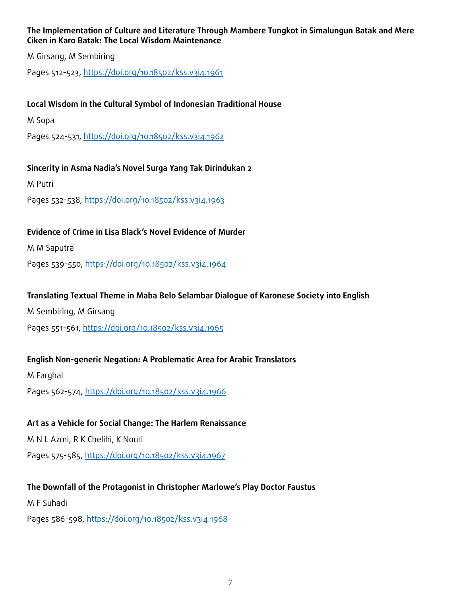## **The Implementation of Culture and Literature Through Mambere Tungkot in Simalungun Batak and Mere Ciken in Karo Batak: The Local Wisdom Maintenance**

M Girsang, M Sembiring

Pages 512-523, https://doi.org/10.18502/kss.v3i4.1961

## **Local Wisdom in the Cultural Symbol of Indonesian Traditional House**

M Sopa

Pages 524-531, https://doi.org/10.18502/kss.v3i4.1962

## **Sincerity in Asma Nadia's Novel Surga Yang Tak Dirindukan 2**

M Putri

Pages 532-538, https://doi.org/10.18502/kss.v3i4.1963

## **Evidence of Crime in Lisa Black's Novel Evidence of Murder**

M M Saputra

Pages 539-550, https://doi.org/10.18502/kss.v3i4.1964

## **Translating Textual Theme in Maba Belo Selambar Dialogue of Karonese Society into English**

M Sembiring, M Girsang

Pages 551-561, https://doi.org/10.18502/kss.v3i4.1965

## **English Non-generic Negation: A Problematic Area for Arabic Translators**

M Farghal Pages 562-574, https://doi.org/10.18502/kss.v3i4.1966

# **Art as a Vehicle for Social Change: The Harlem Renaissance**

M N L Azmi, R K Chelihi, K Nouri

Pages 575-585, https://doi.org/10.18502/kss.v3i4.1967

## **The Downfall of the Protagonist in Christopher Marlowe's Play Doctor Faustus**

M F Suhadi

Pages 586-598, https://doi.org/10.18502/kss.v3i4.1968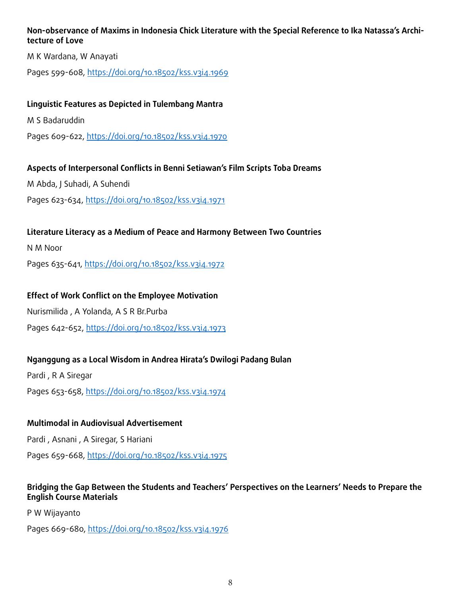## **Non-observance of Maxims in Indonesia Chick Literature with the Special Reference to Ika Natassa's Architecture of Love**

M K Wardana, W Anayati

Pages 599-608, https://doi.org/10.18502/kss.v3i4.1969

## **Linguistic Features as Depicted in Tulembang Mantra**

M S Badaruddin

Pages 609-622, https://doi.org/10.18502/kss.v3i4.1970

## **Aspects of Interpersonal Conflicts in Benni Setiawan's Film Scripts Toba Dreams**

M Abda, J Suhadi, A Suhendi

Pages 623-634, https://doi.org/10.18502/kss.v3i4.1971

## **Literature Literacy as a Medium of Peace and Harmony Between Two Countries**

N M Noor

Pages 635-641, https://doi.org/10.18502/kss.v3i4.1972

## **Effect of Work Conflict on the Employee Motivation**

Nurismilida , A Yolanda, A S R Br.Purba

Pages 642-652, https://doi.org/10.18502/kss.v3i4.1973

## **Nganggung as a Local Wisdom in Andrea Hirata's Dwilogi Padang Bulan**

Pardi , R A Siregar Pages 653-658, https://doi.org/10.18502/kss.v3i4.1974

## **Multimodal in Audiovisual Advertisement**

Pardi , Asnani , A Siregar, S Hariani

Pages 659-668, https://doi.org/10.18502/kss.v3i4.1975

## **Bridging the Gap Between the Students and Teachers' Perspectives on the Learners' Needs to Prepare the English Course Materials**

P W Wijayanto

Pages 669-680, https://doi.org/10.18502/kss.v3i4.1976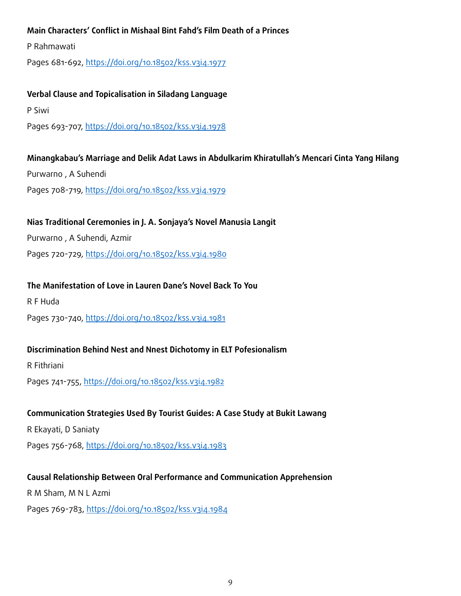## **Main Characters' Conflict in Mishaal Bint Fahd's Film Death of a Princes**

P Rahmawati

Pages 681-692, https://doi.org/10.18502/kss.v3i4.1977

#### **Verbal Clause and Topicalisation in Siladang Language**

P Siwi

Pages 693-707, https://doi.org/10.18502/kss.v3i4.1978

## **Minangkabau's Marriage and Delik Adat Laws in Abdulkarim Khiratullah's Mencari Cinta Yang Hilang**

Purwarno , A Suhendi

Pages 708-719, https://doi.org/10.18502/kss.v3i4.1979

## **Nias Traditional Ceremonies in J. A. Sonjaya's Novel Manusia Langit**

Purwarno , A Suhendi, Azmir

Pages 720-729, https://doi.org/10.18502/kss.v3i4.1980

## **The Manifestation of Love in Lauren Dane's Novel Back To You**

R F Huda

Pages 730-740, https://doi.org/10.18502/kss.v3i4.1981

## **Discrimination Behind Nest and Nnest Dichotomy in ELT Pofesionalism**

R Fithriani

Pages 741-755, https://doi.org/10.18502/kss.v3i4.1982

## **Communication Strategies Used By Tourist Guides: A Case Study at Bukit Lawang**

R Ekayati, D Saniaty

Pages 756-768, https://doi.org/10.18502/kss.v3i4.1983

## **Causal Relationship Between Oral Performance and Communication Apprehension**

R M Sham, M N L Azmi

Pages 769-783, https://doi.org/10.18502/kss.v3i4.1984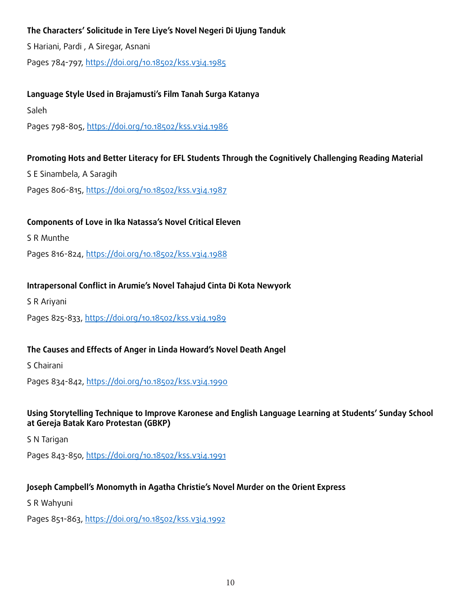## **The Characters' Solicitude in Tere Liye's Novel Negeri Di Ujung Tanduk**

S Hariani, Pardi , A Siregar, Asnani Pages 784-797, https://doi.org/10.18502/kss.v3i4.1985

## **Language Style Used in Brajamusti's Film Tanah Surga Katanya**

Saleh

Pages 798-805, https://doi.org/10.18502/kss.v3i4.1986

## **Promoting Hots and Better Literacy for EFL Students Through the Cognitively Challenging Reading Material**

S E Sinambela, A Saragih

Pages 806-815, https://doi.org/10.18502/kss.v3i4.1987

## **Components of Love in Ika Natassa's Novel Critical Eleven**

S R Munthe

Pages 816-824, https://doi.org/10.18502/kss.v3i4.1988

## **Intrapersonal Conflict in Arumie's Novel Tahajud Cinta Di Kota Newyork**

S R Ariyani

Pages 825-833, https://doi.org/10.18502/kss.v3i4.1989

## **The Causes and Effects of Anger in Linda Howard's Novel Death Angel**

S Chairani

Pages 834-842, https://doi.org/10.18502/kss.v3i4.1990

## **Using Storytelling Technique to Improve Karonese and English Language Learning at Students' Sunday School at Gereja Batak Karo Protestan (GBKP)**

S N Tarigan

Pages 843-850, https://doi.org/10.18502/kss.v3i4.1991

## **Joseph Campbell's Monomyth in Agatha Christie's Novel Murder on the Orient Express**

S R Wahyuni

Pages 851-863, https://doi.org/10.18502/kss.v3i4.1992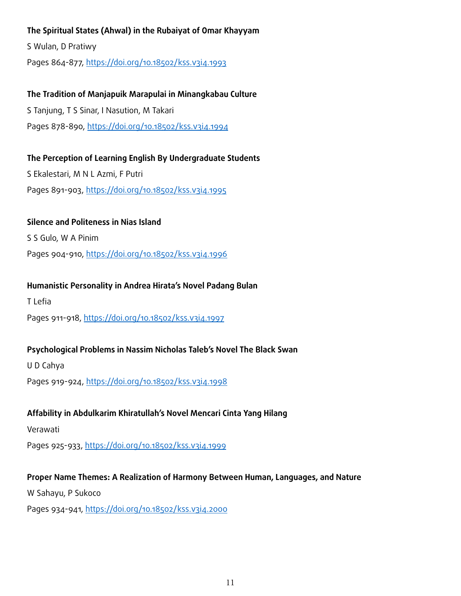## **The Spiritual States (Ahwal) in the Rubaiyat of Omar Khayyam**

S Wulan, D Pratiwy

Pages 864-877, https://doi.org/10.18502/kss.v3i4.1993

## **The Tradition of Manjapuik Marapulai in Minangkabau Culture**

S Tanjung, T S Sinar, I Nasution, M Takari Pages 878-890, https://doi.org/10.18502/kss.v3i4.1994

## **The Perception of Learning English By Undergraduate Students**

S Ekalestari, M N L Azmi, F Putri Pages 891-903, https://doi.org/10.18502/kss.v3i4.1995

## **Silence and Politeness in Nias Island**

S S Gulo, W A Pinim

Pages 904-910, https://doi.org/10.18502/kss.v3i4.1996

## **Humanistic Personality in Andrea Hirata's Novel Padang Bulan**

T Lefia

Pages 911-918, https://doi.org/10.18502/kss.v3i4.1997

## **Psychological Problems in Nassim Nicholas Taleb's Novel The Black Swan**

U D Cahya

Pages 919-924, https://doi.org/10.18502/kss.v3i4.1998

## **Affability in Abdulkarim Khiratullah's Novel Mencari Cinta Yang Hilang**

Verawati

Pages 925-933, https://doi.org/10.18502/kss.v3i4.1999

## **Proper Name Themes: A Realization of Harmony Between Human, Languages, and Nature**

W Sahayu, P Sukoco

Pages 934-941, https://doi.org/10.18502/kss.v3i4.2000